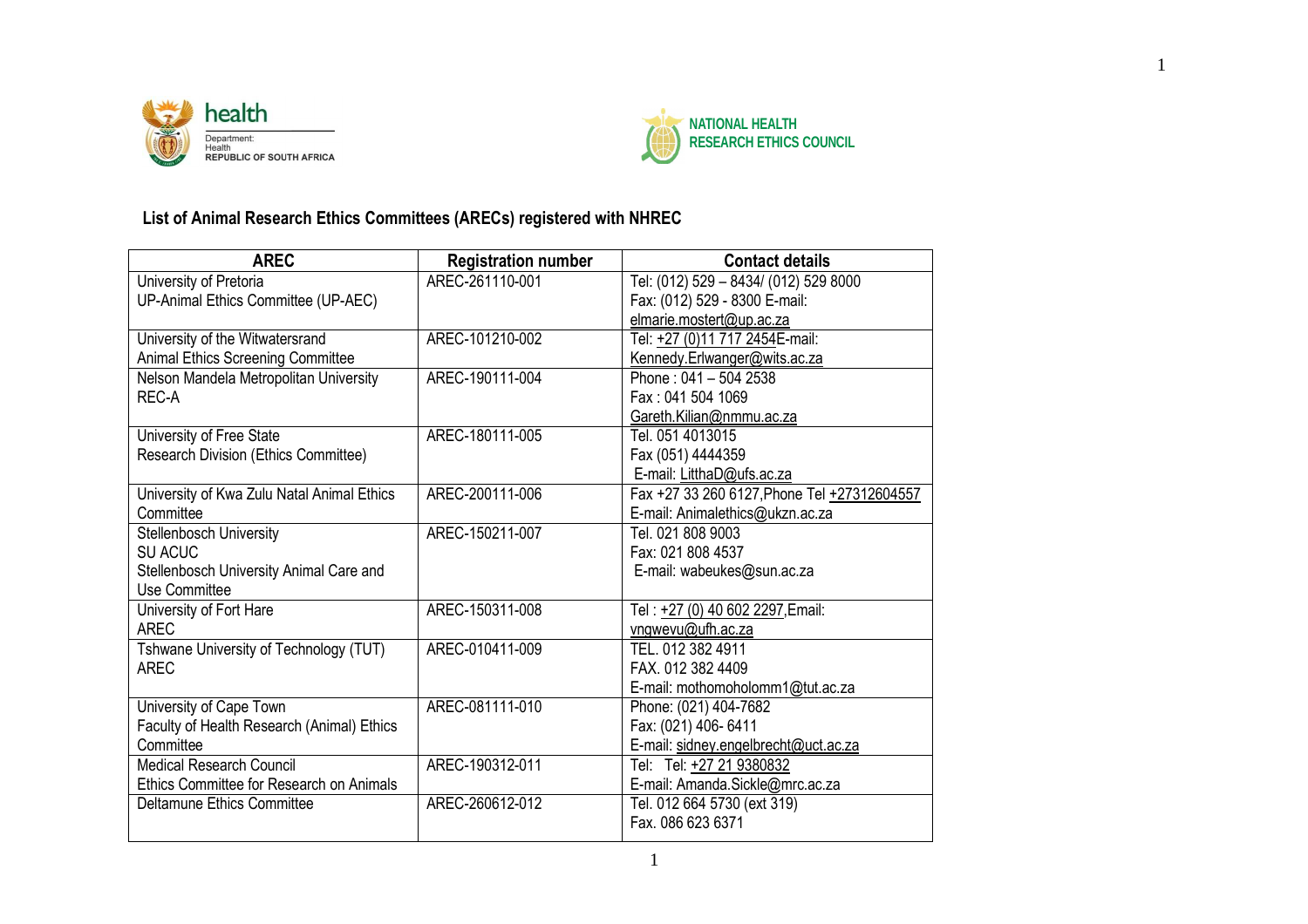



## **List of Animal Research Ethics Committees (ARECs) registered with NHREC**

| <b>AREC</b>                                | <b>Registration number</b> | <b>Contact details</b>                      |
|--------------------------------------------|----------------------------|---------------------------------------------|
| University of Pretoria                     | AREC-261110-001            | Tel: (012) 529 - 8434/ (012) 529 8000       |
| UP-Animal Ethics Committee (UP-AEC)        |                            | Fax: (012) 529 - 8300 E-mail:               |
|                                            |                            | elmarie.mostert@up.ac.za                    |
| University of the Witwatersrand            | AREC-101210-002            | Tel: +27 (0)11 717 2454E-mail:              |
| Animal Ethics Screening Committee          |                            | Kennedy.Erlwanger@wits.ac.za                |
| Nelson Mandela Metropolitan University     | AREC-190111-004            | Phone: 041 - 504 2538                       |
| REC-A                                      |                            | Fax: 041 504 1069                           |
|                                            |                            | Gareth.Kilian@nmmu.ac.za                    |
| University of Free State                   | AREC-180111-005            | Tel. 051 4013015                            |
| Research Division (Ethics Committee)       |                            | Fax (051) 4444359                           |
|                                            |                            | E-mail: LitthaD@ufs.ac.za                   |
| University of Kwa Zulu Natal Animal Ethics | AREC-200111-006            | Fax +27 33 260 6127, Phone Tel +27312604557 |
| Committee                                  |                            | E-mail: Animalethics@ukzn.ac.za             |
| Stellenbosch University                    | AREC-150211-007            | Tel. 021 808 9003                           |
| SU ACUC                                    |                            | Fax: 021 808 4537                           |
| Stellenbosch University Animal Care and    |                            | E-mail: wabeukes@sun.ac.za                  |
| Use Committee                              |                            |                                             |
| University of Fort Hare                    | AREC-150311-008            | Tel: +27 (0) 40 602 2297, Email:            |
| <b>AREC</b>                                |                            | vngwevu@ufh.ac.za                           |
| Tshwane University of Technology (TUT)     | AREC-010411-009            | TEL. 012 382 4911                           |
| <b>AREC</b>                                |                            | FAX. 012 382 4409                           |
|                                            |                            | E-mail: mothomoholomm1@tut.ac.za            |
| University of Cape Town                    | AREC-081111-010            | Phone: (021) 404-7682                       |
| Faculty of Health Research (Animal) Ethics |                            | Fax: (021) 406- 6411                        |
| Committee                                  |                            | E-mail: sidney.engelbrecht@uct.ac.za        |
| <b>Medical Research Council</b>            | AREC-190312-011            | Tel: Tel: +27 21 9380832                    |
| Ethics Committee for Research on Animals   |                            | E-mail: Amanda.Sickle@mrc.ac.za             |
| Deltamune Ethics Committee                 | AREC-260612-012            | Tel. 012 664 5730 (ext 319)                 |
|                                            |                            | Fax. 086 623 6371                           |
|                                            |                            |                                             |

1